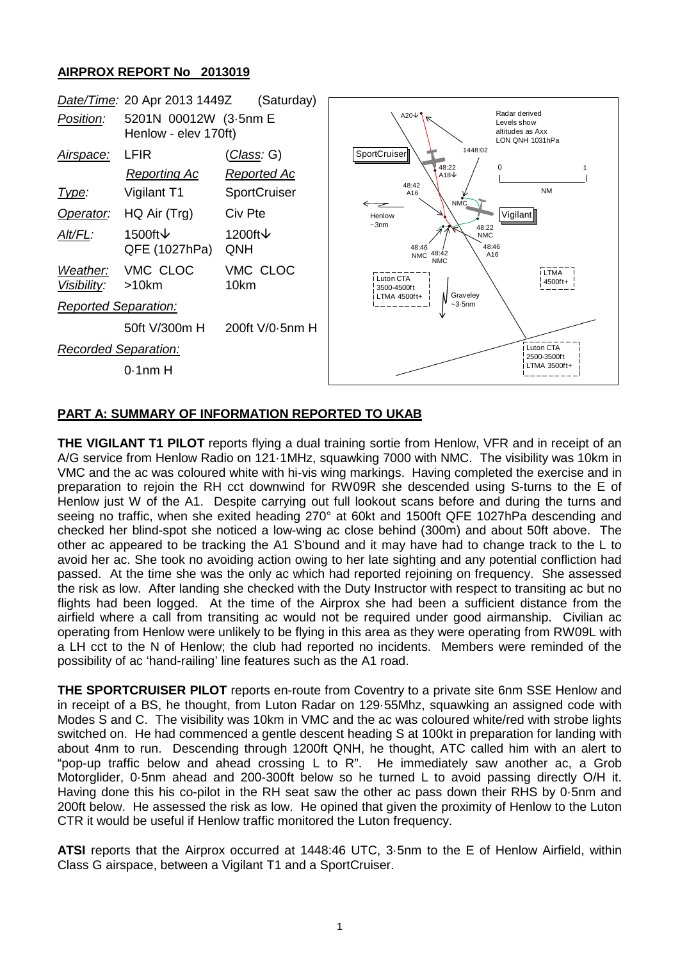## **AIRPROX REPORT No 2013019**



## **PART A: SUMMARY OF INFORMATION REPORTED TO UKAB**

**THE VIGILANT T1 PILOT** reports flying a dual training sortie from Henlow, VFR and in receipt of an A/G service from Henlow Radio on 121·1MHz, squawking 7000 with NMC. The visibility was 10km in VMC and the ac was coloured white with hi-vis wing markings. Having completed the exercise and in preparation to rejoin the RH cct downwind for RW09R she descended using S-turns to the E of Henlow just W of the A1. Despite carrying out full lookout scans before and during the turns and seeing no traffic, when she exited heading 270° at 60kt and 1500ft QFE 1027hPa descending and checked her blind-spot she noticed a low-wing ac close behind (300m) and about 50ft above. The other ac appeared to be tracking the A1 S'bound and it may have had to change track to the L to avoid her ac. She took no avoiding action owing to her late sighting and any potential confliction had passed. At the time she was the only ac which had reported rejoining on frequency. She assessed the risk as low. After landing she checked with the Duty Instructor with respect to transiting ac but no flights had been logged. At the time of the Airprox she had been a sufficient distance from the airfield where a call from transiting ac would not be required under good airmanship. Civilian ac operating from Henlow were unlikely to be flying in this area as they were operating from RW09L with a LH cct to the N of Henlow; the club had reported no incidents. Members were reminded of the possibility of ac 'hand-railing' line features such as the A1 road.

**THE SPORTCRUISER PILOT** reports en-route from Coventry to a private site 6nm SSE Henlow and in receipt of a BS, he thought, from Luton Radar on 129·55Mhz, squawking an assigned code with Modes S and C. The visibility was 10km in VMC and the ac was coloured white/red with strobe lights switched on. He had commenced a gentle descent heading S at 100kt in preparation for landing with about 4nm to run. Descending through 1200ft QNH, he thought, ATC called him with an alert to "pop-up traffic below and ahead crossing L to R". He immediately saw another ac, a Grob Motorglider, 0·5nm ahead and 200-300ft below so he turned L to avoid passing directly O/H it. Having done this his co-pilot in the RH seat saw the other ac pass down their RHS by 0·5nm and 200ft below. He assessed the risk as low. He opined that given the proximity of Henlow to the Luton CTR it would be useful if Henlow traffic monitored the Luton frequency.

**ATSI** reports that the Airprox occurred at 1448:46 UTC, 3·5nm to the E of Henlow Airfield, within Class G airspace, between a Vigilant T1 and a SportCruiser.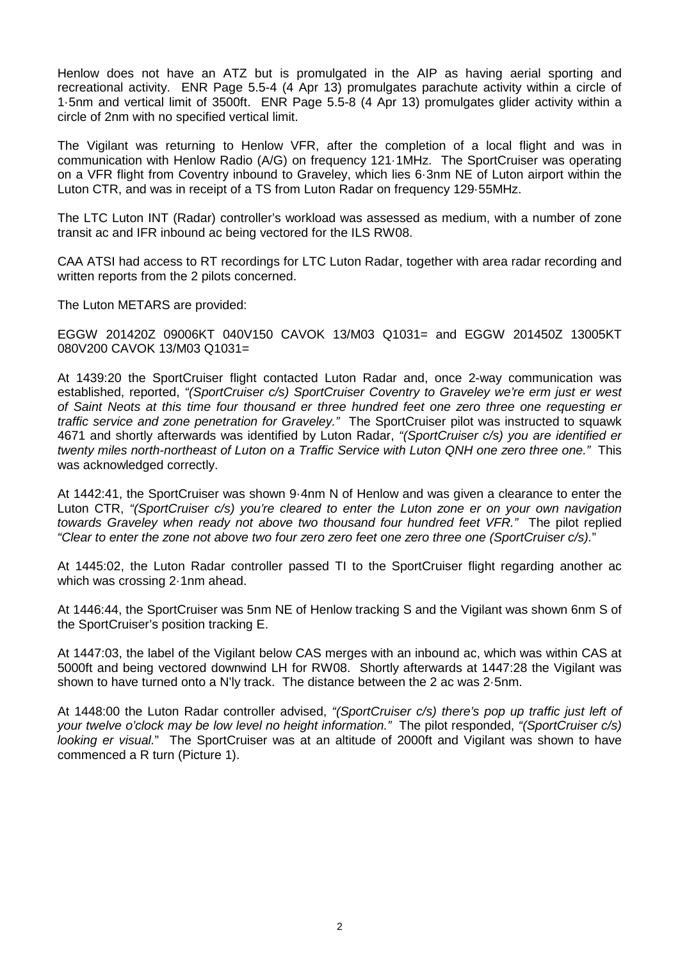Henlow does not have an ATZ but is promulgated in the AIP as having aerial sporting and recreational activity. ENR Page 5.5-4 (4 Apr 13) promulgates parachute activity within a circle of 1·5nm and vertical limit of 3500ft. ENR Page 5.5-8 (4 Apr 13) promulgates glider activity within a circle of 2nm with no specified vertical limit.

The Vigilant was returning to Henlow VFR, after the completion of a local flight and was in communication with Henlow Radio (A/G) on frequency 121·1MHz. The SportCruiser was operating on a VFR flight from Coventry inbound to Graveley, which lies 6·3nm NE of Luton airport within the Luton CTR, and was in receipt of a TS from Luton Radar on frequency 129·55MHz.

The LTC Luton INT (Radar) controller's workload was assessed as medium, with a number of zone transit ac and IFR inbound ac being vectored for the ILS RW08.

CAA ATSI had access to RT recordings for LTC Luton Radar, together with area radar recording and written reports from the 2 pilots concerned.

The Luton METARS are provided:

EGGW 201420Z 09006KT 040V150 CAVOK 13/M03 Q1031= and EGGW 201450Z 13005KT 080V200 CAVOK 13/M03 Q1031=

At 1439:20 the SportCruiser flight contacted Luton Radar and, once 2-way communication was established, reported, *"(SportCruiser c/s) SportCruiser Coventry to Graveley we're erm just er west of Saint Neots at this time four thousand er three hundred feet one zero three one requesting er traffic service and zone penetration for Graveley."* The SportCruiser pilot was instructed to squawk 4671 and shortly afterwards was identified by Luton Radar, *"(SportCruiser c/s) you are identified er twenty miles north-northeast of Luton on a Traffic Service with Luton QNH one zero three one."* This was acknowledged correctly.

At 1442:41, the SportCruiser was shown 9·4nm N of Henlow and was given a clearance to enter the Luton CTR, *"(SportCruiser c/s) you're cleared to enter the Luton zone er on your own navigation towards Graveley when ready not above two thousand four hundred feet VFR."* The pilot replied *"Clear to enter the zone not above two four zero zero feet one zero three one (SportCruiser c/s).*"

At 1445:02, the Luton Radar controller passed TI to the SportCruiser flight regarding another ac which was crossing 2·1nm ahead.

At 1446:44, the SportCruiser was 5nm NE of Henlow tracking S and the Vigilant was shown 6nm S of the SportCruiser's position tracking E.

At 1447:03, the label of the Vigilant below CAS merges with an inbound ac, which was within CAS at 5000ft and being vectored downwind LH for RW08. Shortly afterwards at 1447:28 the Vigilant was shown to have turned onto a N'ly track. The distance between the 2 ac was 2·5nm.

At 1448:00 the Luton Radar controller advised, *"(SportCruiser c/s) there's pop up traffic just left of your twelve o'clock may be low level no height information."* The pilot responded, *"(SportCruiser c/s) looking er visual.*" The SportCruiser was at an altitude of 2000ft and Vigilant was shown to have commenced a R turn (Picture 1).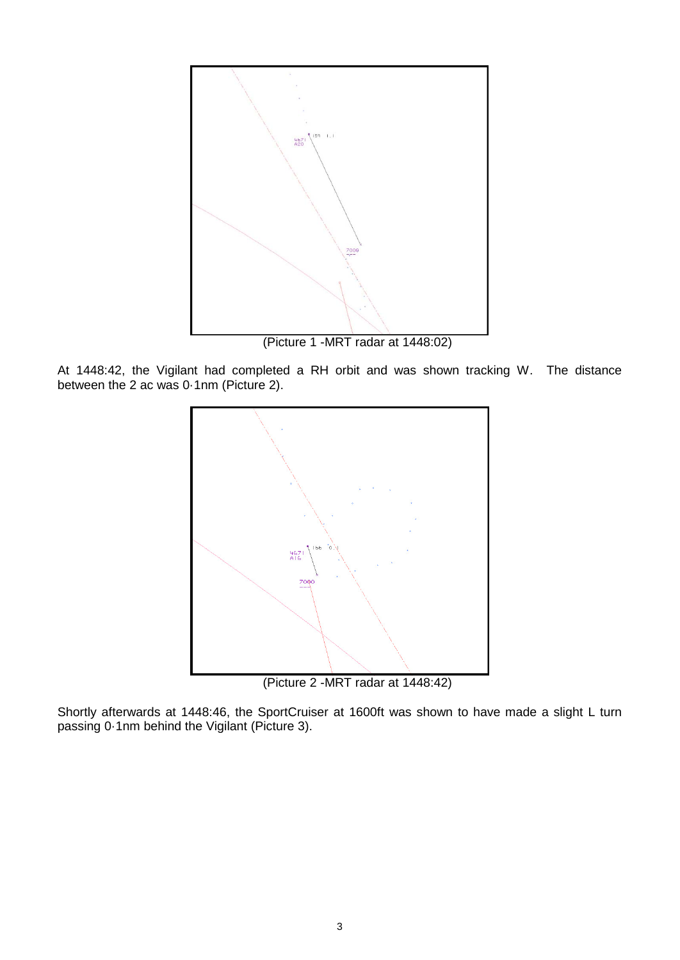

(Picture 1 -MRT radar at 1448:02)

At 1448:42, the Vigilant had completed a RH orbit and was shown tracking W. The distance between the 2 ac was 0·1nm (Picture 2).



(Picture 2 -MRT radar at 1448:42)

Shortly afterwards at 1448:46, the SportCruiser at 1600ft was shown to have made a slight L turn passing 0·1nm behind the Vigilant (Picture 3).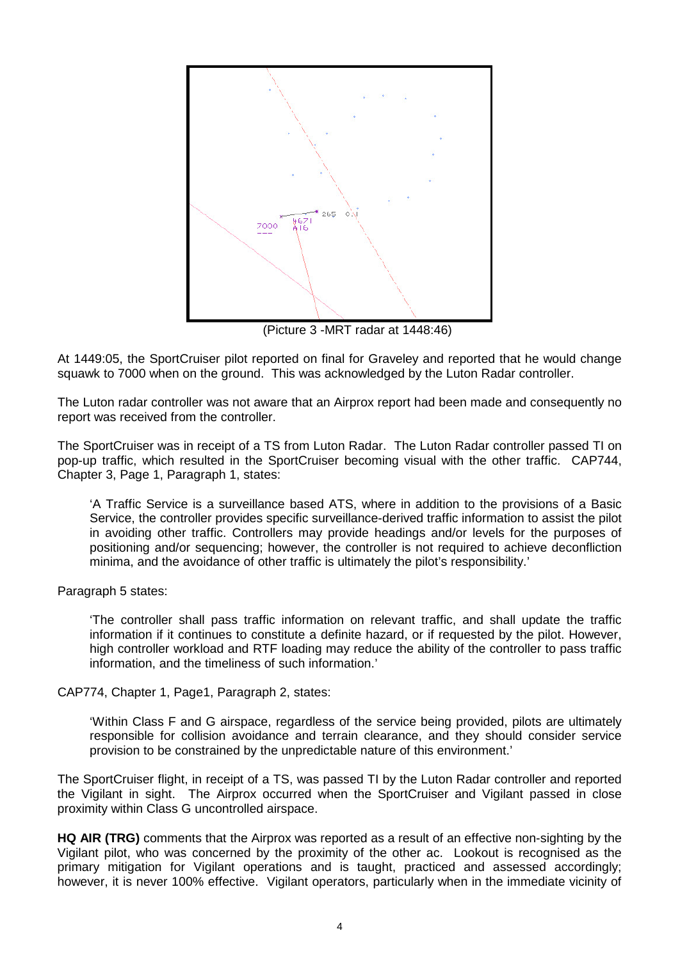

(Picture 3 -MRT radar at 1448:46)

At 1449:05, the SportCruiser pilot reported on final for Graveley and reported that he would change squawk to 7000 when on the ground. This was acknowledged by the Luton Radar controller.

The Luton radar controller was not aware that an Airprox report had been made and consequently no report was received from the controller.

The SportCruiser was in receipt of a TS from Luton Radar. The Luton Radar controller passed TI on pop-up traffic, which resulted in the SportCruiser becoming visual with the other traffic. CAP744, Chapter 3, Page 1, Paragraph 1, states:

'A Traffic Service is a surveillance based ATS, where in addition to the provisions of a Basic Service, the controller provides specific surveillance-derived traffic information to assist the pilot in avoiding other traffic. Controllers may provide headings and/or levels for the purposes of positioning and/or sequencing; however, the controller is not required to achieve deconfliction minima, and the avoidance of other traffic is ultimately the pilot's responsibility.'

Paragraph 5 states:

'The controller shall pass traffic information on relevant traffic, and shall update the traffic information if it continues to constitute a definite hazard, or if requested by the pilot. However, high controller workload and RTF loading may reduce the ability of the controller to pass traffic information, and the timeliness of such information.'

CAP774, Chapter 1, Page1, Paragraph 2, states:

'Within Class F and G airspace, regardless of the service being provided, pilots are ultimately responsible for collision avoidance and terrain clearance, and they should consider service provision to be constrained by the unpredictable nature of this environment.'

The SportCruiser flight, in receipt of a TS, was passed TI by the Luton Radar controller and reported the Vigilant in sight. The Airprox occurred when the SportCruiser and Vigilant passed in close proximity within Class G uncontrolled airspace.

**HQ AIR (TRG)** comments that the Airprox was reported as a result of an effective non-sighting by the Vigilant pilot, who was concerned by the proximity of the other ac. Lookout is recognised as the primary mitigation for Vigilant operations and is taught, practiced and assessed accordingly; however, it is never 100% effective. Vigilant operators, particularly when in the immediate vicinity of